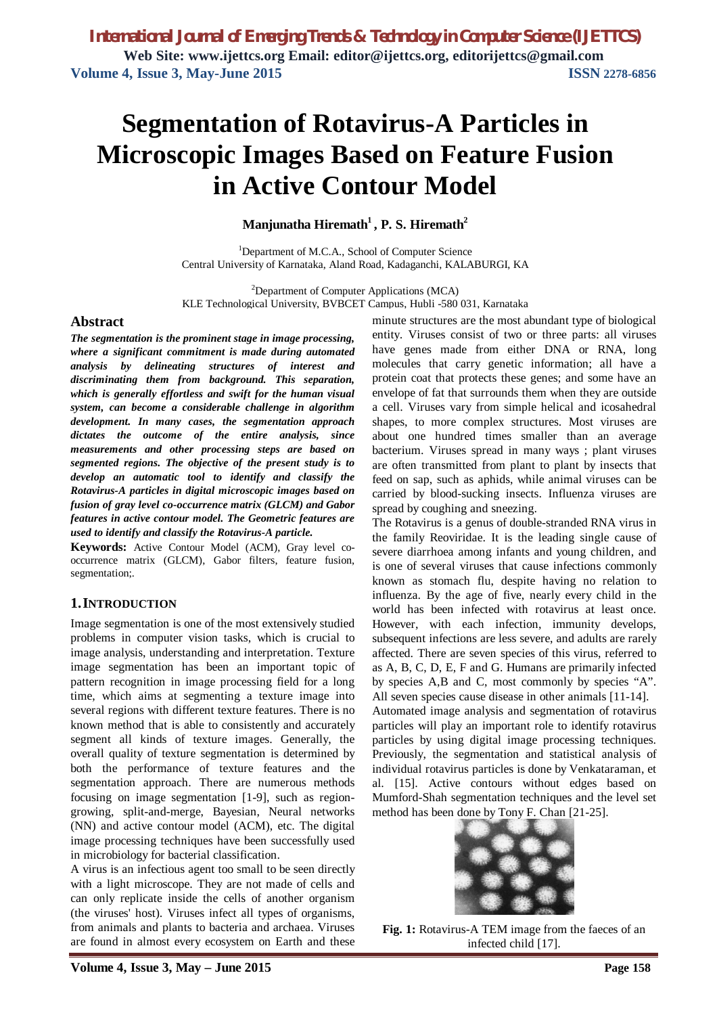# **Segmentation of Rotavirus-A Particles in Microscopic Images Based on Feature Fusion in Active Contour Model**

## **Manjunatha Hiremath<sup>1</sup> , P. S. Hiremath<sup>2</sup>**

<sup>1</sup>Department of M.C.A., School of Computer Science Central University of Karnataka, Aland Road, Kadaganchi, KALABURGI, KA

<sup>2</sup>Department of Computer Applications (MCA) KLE Technological University, BVBCET Campus, Hubli -580 031, Karnataka

### **Abstract**

*The segmentation is the prominent stage in image processing, where a significant commitment is made during automated analysis by delineating structures of interest and discriminating them from background. This separation, which is generally effortless and swift for the human visual system, can become a considerable challenge in algorithm development. In many cases, the segmentation approach dictates the outcome of the entire analysis, since measurements and other processing steps are based on segmented regions. The objective of the present study is to develop an automatic tool to identify and classify the Rotavirus-A particles in digital microscopic images based on fusion of gray level co-occurrence matrix (GLCM) and Gabor features in active contour model. The Geometric features are used to identify and classify the Rotavirus-A particle.*

**Keywords:** Active Contour Model (ACM), Gray level cooccurrence matrix (GLCM), Gabor filters, feature fusion, segmentation;.

## **1.INTRODUCTION**

Image segmentation is one of the most extensively studied problems in computer vision tasks, which is crucial to image analysis, understanding and interpretation. Texture image segmentation has been an important topic of pattern recognition in image processing field for a long time, which aims at segmenting a texture image into several regions with different texture features. There is no known method that is able to consistently and accurately segment all kinds of texture images. Generally, the overall quality of texture segmentation is determined by both the performance of texture features and the segmentation approach. There are numerous methods focusing on image segmentation [1-9], such as regiongrowing, split-and-merge, Bayesian, Neural networks (NN) and active contour model (ACM), etc. The digital image processing techniques have been successfully used in microbiology for bacterial classification.

A virus is an infectious agent too small to be seen directly with a light microscope. They are not made of cells and can only replicate inside the cells of another organism (the viruses' host). Viruses infect all types of organisms, from animals and plants to bacteria and archaea. Viruses are found in almost every ecosystem on Earth and these

minute structures are the most abundant type of biological entity. Viruses consist of two or three parts: all viruses have genes made from either DNA or RNA, long molecules that carry genetic information; all have a protein coat that protects these genes; and some have an envelope of fat that surrounds them when they are outside a cell. Viruses vary from simple helical and icosahedral shapes, to more complex structures. Most viruses are about one hundred times smaller than an average bacterium. Viruses spread in many ways ; plant viruses are often transmitted from plant to plant by insects that feed on sap, such as aphids, while animal viruses can be carried by blood-sucking insects. Influenza viruses are spread by coughing and sneezing.

The Rotavirus is a genus of double-stranded RNA virus in the family Reoviridae. It is the leading single cause of severe diarrhoea among infants and young children, and is one of several viruses that cause infections commonly known as stomach flu, despite having no relation to influenza. By the age of five, nearly every child in the world has been infected with rotavirus at least once. However, with each infection, immunity develops, subsequent infections are less severe, and adults are rarely affected. There are seven species of this virus, referred to as A, B, C, D, E, F and G. Humans are primarily infected by species A,B and C, most commonly by species "A". All seven species cause disease in other animals [11-14].

Automated image analysis and segmentation of rotavirus particles will play an important role to identify rotavirus particles by using digital image processing techniques. Previously, the segmentation and statistical analysis of individual rotavirus particles is done by Venkataraman, et al. [15]. Active contours without edges based on Mumford-Shah segmentation techniques and the level set method has been done by Tony F. Chan [21-25].



**Fig. 1:** Rotavirus-A TEM image from the faeces of an infected child [17].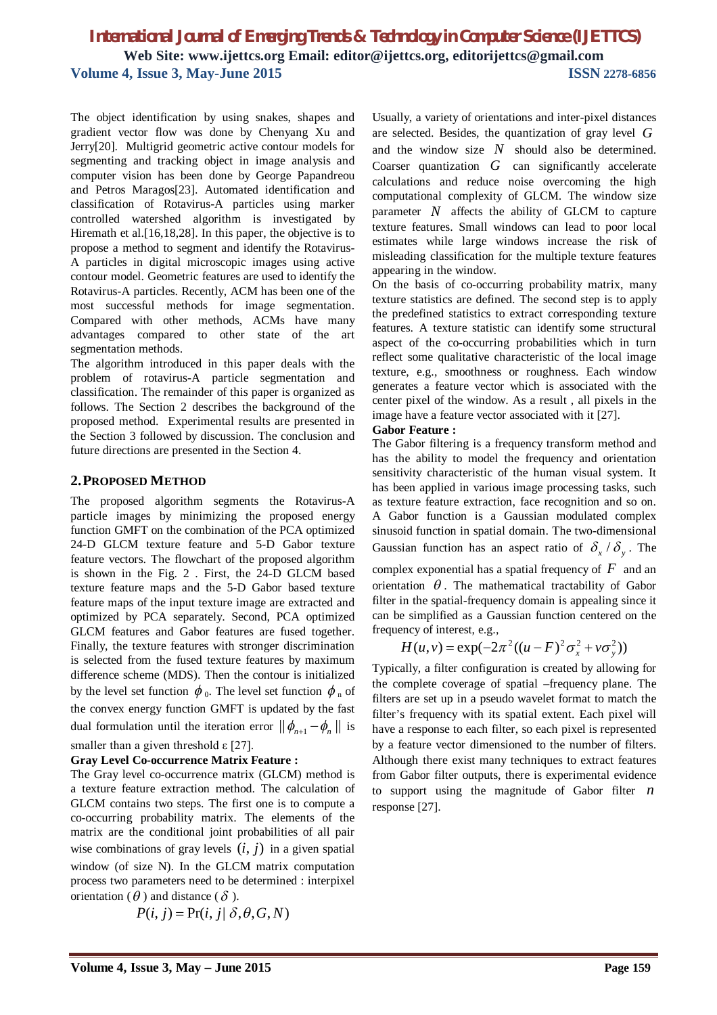The object identification by using snakes, shapes and gradient vector flow was done by Chenyang Xu and Jerry[20]. Multigrid geometric active contour models for segmenting and tracking object in image analysis and computer vision has been done by George Papandreou and Petros Maragos[23]. Automated identification and classification of Rotavirus-A particles using marker controlled watershed algorithm is investigated by Hiremath et al.[16,18,28]. In this paper, the objective is to propose a method to segment and identify the Rotavirus-A particles in digital microscopic images using active contour model. Geometric features are used to identify the Rotavirus-A particles. Recently, ACM has been one of the most successful methods for image segmentation. Compared with other methods, ACMs have many advantages compared to other state of the art segmentation methods.

The algorithm introduced in this paper deals with the problem of rotavirus-A particle segmentation and classification. The remainder of this paper is organized as follows. The Section 2 describes the background of the proposed method. Experimental results are presented in the Section 3 followed by discussion. The conclusion and future directions are presented in the Section 4.

## **2.PROPOSED METHOD**

The proposed algorithm segments the Rotavirus-A particle images by minimizing the proposed energy function GMFT on the combination of the PCA optimized 24-D GLCM texture feature and 5-D Gabor texture feature vectors. The flowchart of the proposed algorithm is shown in the Fig. 2 . First, the 24-D GLCM based texture feature maps and the 5-D Gabor based texture feature maps of the input texture image are extracted and optimized by PCA separately. Second, PCA optimized GLCM features and Gabor features are fused together. Finally, the texture features with stronger discrimination is selected from the fused texture features by maximum difference scheme (MDS). Then the contour is initialized by the level set function  $\phi_0$ . The level set function  $\phi_n$  of the convex energy function GMFT is updated by the fast dual formulation until the iteration error  $\|\phi_{n+1} - \phi_n\|$  is smaller than a given threshold  $\epsilon$  [27].

### **Gray Level Co-occurrence Matrix Feature :**

The Gray level co-occurrence matrix (GLCM) method is a texture feature extraction method. The calculation of GLCM contains two steps. The first one is to compute a co-occurring probability matrix. The elements of the matrix are the conditional joint probabilities of all pair wise combinations of gray levels  $(i, j)$  in a given spatial window (of size N). In the GLCM matrix computation process two parameters need to be determined : interpixel orientation ( $\theta$ ) and distance ( $\delta$ ).

$$
P(i, j) = Pr(i, j | \delta, \theta, G, N)
$$

Usually, a variety of orientations and inter-pixel distances are selected. Besides, the quantization of gray level *G* and the window size *N* should also be determined. Coarser quantization *G* can significantly accelerate calculations and reduce noise overcoming the high computational complexity of GLCM. The window size parameter  $N$  affects the ability of GLCM to capture texture features. Small windows can lead to poor local estimates while large windows increase the risk of misleading classification for the multiple texture features appearing in the window.

On the basis of co-occurring probability matrix, many texture statistics are defined. The second step is to apply the predefined statistics to extract corresponding texture features. A texture statistic can identify some structural aspect of the co-occurring probabilities which in turn reflect some qualitative characteristic of the local image texture, e.g., smoothness or roughness. Each window generates a feature vector which is associated with the center pixel of the window. As a result , all pixels in the image have a feature vector associated with it [27].

### **Gabor Feature :**

The Gabor filtering is a frequency transform method and has the ability to model the frequency and orientation sensitivity characteristic of the human visual system. It has been applied in various image processing tasks, such as texture feature extraction, face recognition and so on. A Gabor function is a Gaussian modulated complex sinusoid function in spatial domain. The two-dimensional Gaussian function has an aspect ratio of  $\delta_x / \delta_y$ . The complex exponential has a spatial frequency of  $F$  and an orientation  $\theta$ . The mathematical tractability of Gabor filter in the spatial-frequency domain is appealing since it can be simplified as a Gaussian function centered on the frequency of interest, e.g.,

$$
H(u, v) = \exp(-2\pi^2((u - F)^2 \sigma_x^2 + v \sigma_y^2))
$$

Typically, a filter configuration is created by allowing for the complete coverage of spatial –frequency plane. The filters are set up in a pseudo wavelet format to match the filter's frequency with its spatial extent. Each pixel will have a response to each filter, so each pixel is represented by a feature vector dimensioned to the number of filters. Although there exist many techniques to extract features from Gabor filter outputs, there is experimental evidence to support using the magnitude of Gabor filter *n* response [27].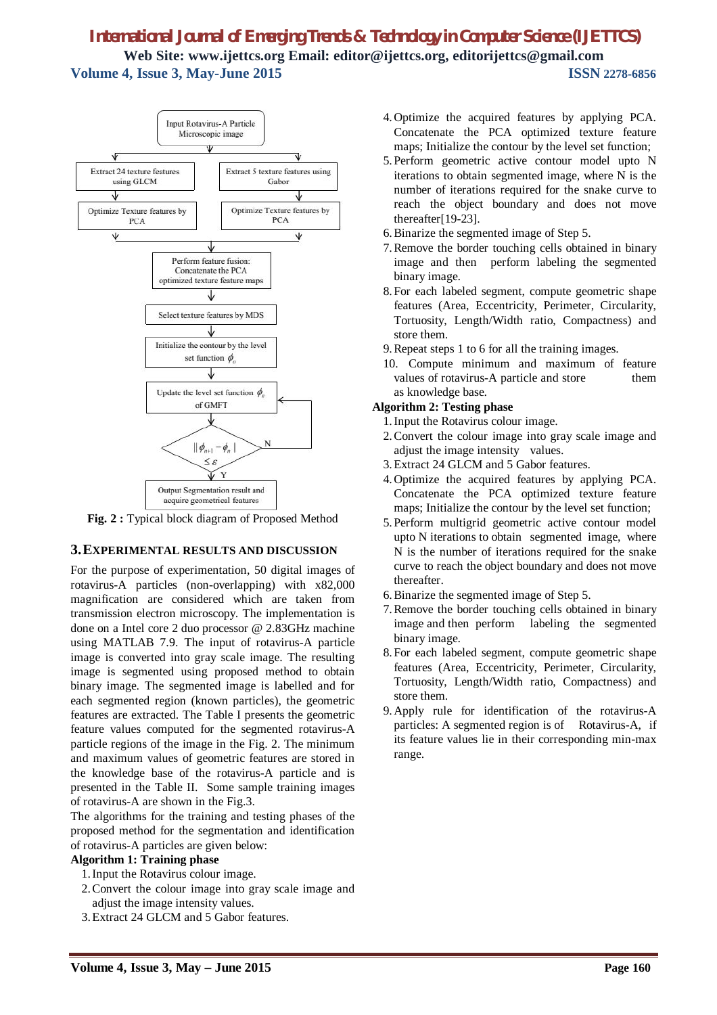

**Fig. 2 :** Typical block diagram of Proposed Method

## **3.EXPERIMENTAL RESULTS AND DISCUSSION**

For the purpose of experimentation, 50 digital images of rotavirus-A particles (non-overlapping) with x82,000 magnification are considered which are taken from transmission electron microscopy. The implementation is done on a Intel core 2 duo processor @ 2.83GHz machine using MATLAB 7.9. The input of rotavirus-A particle image is converted into gray scale image. The resulting image is segmented using proposed method to obtain binary image. The segmented image is labelled and for each segmented region (known particles), the geometric features are extracted. The Table I presents the geometric feature values computed for the segmented rotavirus-A particle regions of the image in the Fig. 2. The minimum and maximum values of geometric features are stored in the knowledge base of the rotavirus-A particle and is presented in the Table II. Some sample training images of rotavirus-A are shown in the Fig.3.

The algorithms for the training and testing phases of the proposed method for the segmentation and identification of rotavirus-A particles are given below:

### **Algorithm 1: Training phase**

- 1.Input the Rotavirus colour image.
- 2.Convert the colour image into gray scale image and adjust the image intensity values.
- 3.Extract 24 GLCM and 5 Gabor features.
- 4.Optimize the acquired features by applying PCA. Concatenate the PCA optimized texture feature maps; Initialize the contour by the level set function;
- 5.Perform geometric active contour model upto N iterations to obtain segmented image, where N is the number of iterations required for the snake curve to reach the object boundary and does not move thereafter[19-23].
- 6.Binarize the segmented image of Step 5.
- 7.Remove the border touching cells obtained in binary image and then perform labeling the segmented binary image.
- 8.For each labeled segment, compute geometric shape features (Area, Eccentricity, Perimeter, Circularity, Tortuosity, Length/Width ratio, Compactness) and store them.
- 9.Repeat steps 1 to 6 for all the training images.
- 10. Compute minimum and maximum of feature values of rotavirus-A particle and store them as knowledge base.

## **Algorithm 2: Testing phase**

- 1.Input the Rotavirus colour image.
- 2.Convert the colour image into gray scale image and adjust the image intensity values.
- 3.Extract 24 GLCM and 5 Gabor features.
- 4.Optimize the acquired features by applying PCA. Concatenate the PCA optimized texture feature maps; Initialize the contour by the level set function;
- 5.Perform multigrid geometric active contour model upto N iterations to obtain segmented image, where N is the number of iterations required for the snake curve to reach the object boundary and does not move thereafter.
- 6.Binarize the segmented image of Step 5.
- 7.Remove the border touching cells obtained in binary image and then perform labeling the segmented binary image.
- 8.For each labeled segment, compute geometric shape features (Area, Eccentricity, Perimeter, Circularity, Tortuosity, Length/Width ratio, Compactness) and store them.
- 9.Apply rule for identification of the rotavirus-A particles: A segmented region is of Rotavirus-A, if its feature values lie in their corresponding min-max range.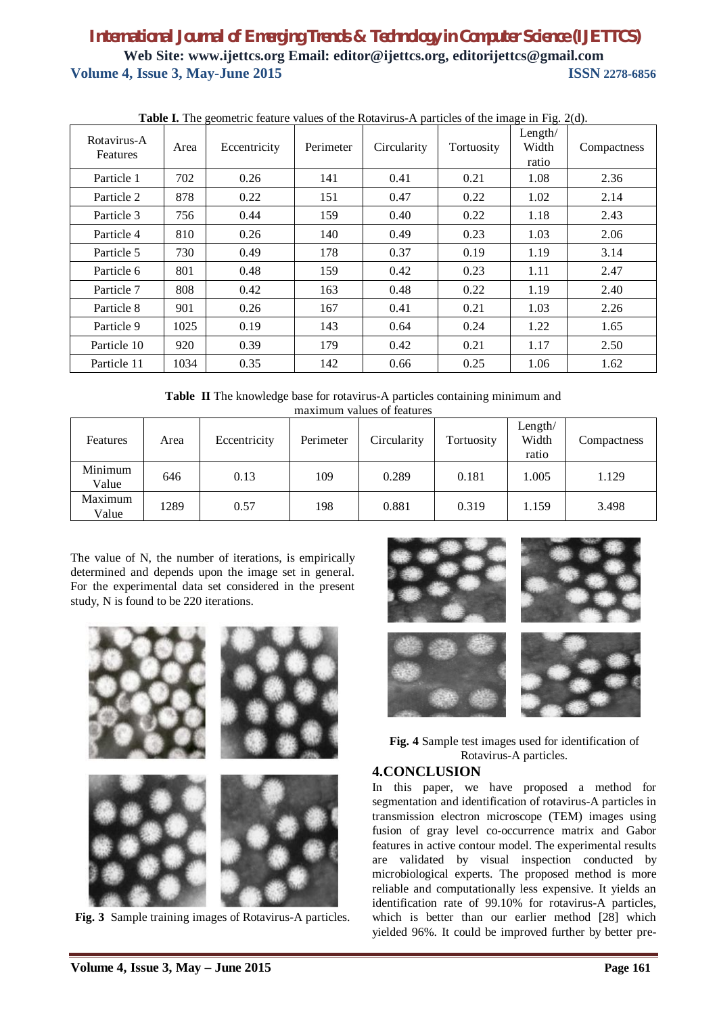| <b>Table 1.</b> The geometric feature values of the Rotavirus-A particles of the image in Fig. 2(d). |      |              |           |             |            |                           |             |  |  |  |
|------------------------------------------------------------------------------------------------------|------|--------------|-----------|-------------|------------|---------------------------|-------------|--|--|--|
| Rotavirus-A<br>Features                                                                              | Area | Eccentricity | Perimeter | Circularity | Tortuosity | Length/<br>Width<br>ratio | Compactness |  |  |  |
| Particle 1                                                                                           | 702  | 0.26         | 141       | 0.41        | 0.21       | 1.08                      | 2.36        |  |  |  |
| Particle 2                                                                                           | 878  | 0.22         | 151       | 0.47        | 0.22       | 1.02                      | 2.14        |  |  |  |
| Particle 3                                                                                           | 756  | 0.44         | 159       | 0.40        | 0.22       | 1.18                      | 2.43        |  |  |  |
| Particle 4                                                                                           | 810  | 0.26         | 140       | 0.49        | 0.23       | 1.03                      | 2.06        |  |  |  |
| Particle 5                                                                                           | 730  | 0.49         | 178       | 0.37        | 0.19       | 1.19                      | 3.14        |  |  |  |
| Particle 6                                                                                           | 801  | 0.48         | 159       | 0.42        | 0.23       | 1.11                      | 2.47        |  |  |  |
| Particle 7                                                                                           | 808  | 0.42         | 163       | 0.48        | 0.22       | 1.19                      | 2.40        |  |  |  |
| Particle 8                                                                                           | 901  | 0.26         | 167       | 0.41        | 0.21       | 1.03                      | 2.26        |  |  |  |
| Particle 9                                                                                           | 1025 | 0.19         | 143       | 0.64        | 0.24       | 1.22                      | 1.65        |  |  |  |
| Particle 10                                                                                          | 920  | 0.39         | 179       | 0.42        | 0.21       | 1.17                      | 2.50        |  |  |  |
| Particle 11                                                                                          | 1034 | 0.35         | 142       | 0.66        | 0.25       | 1.06                      | 1.62        |  |  |  |

**Table I.** The geometric feature values of the Rotavirus-A particles of the image in Fig. 2(d).

**Table II** The knowledge base for rotavirus-A particles containing minimum and maximum values of features

| Features         | Area | Eccentricity | Perimeter | Circularity | Tortuosity | Length $/$<br>Width<br>ratio | Compactness |
|------------------|------|--------------|-----------|-------------|------------|------------------------------|-------------|
| Minimum<br>Value | 646  | 0.13         | 109       | 0.289       | 0.181      | 1.005                        | 1.129       |
| Maximum<br>Value | 1289 | 0.57         | 198       | 0.881       | 0.319      | 1.159                        | 3.498       |

The value of N, the number of iterations, is empirically determined and depends upon the image set in general. For the experimental data set considered in the present study, N is found to be 220 iterations.



**Fig. 3** Sample training images of Rotavirus-A particles.



**Fig. 4** Sample test images used for identification of Rotavirus-A particles.

## **4.CONCLUSION**

In this paper, we have proposed a method for segmentation and identification of rotavirus-A particles in transmission electron microscope (TEM) images using fusion of gray level co-occurrence matrix and Gabor features in active contour model. The experimental results are validated by visual inspection conducted by microbiological experts. The proposed method is more reliable and computationally less expensive. It yields an identification rate of 99.10% for rotavirus-A particles, which is better than our earlier method [28] which yielded 96%. It could be improved further by better pre-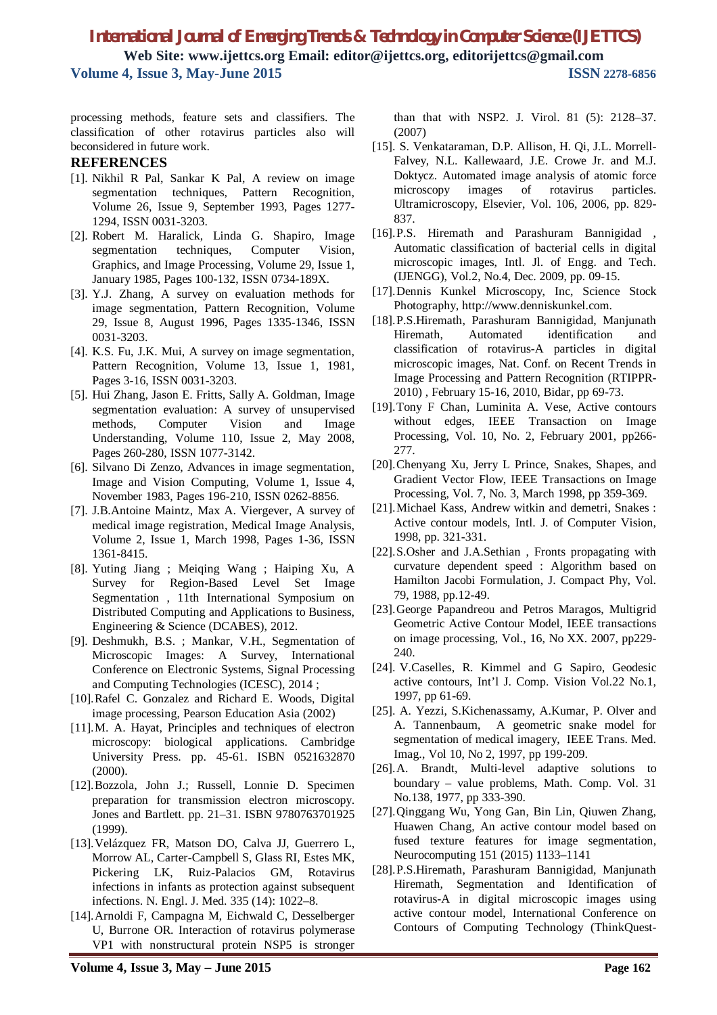processing methods, feature sets and classifiers. The classification of other rotavirus particles also will beconsidered in future work.

#### **REFERENCES**

- [1]. Nikhil R Pal, Sankar K Pal, A review on image segmentation techniques, Pattern Recognition, Volume 26, Issue 9, September 1993, Pages 1277- 1294, ISSN 0031-3203.
- [2]. Robert M. Haralick, Linda G. Shapiro, Image segmentation techniques, Computer Vision, Graphics, and Image Processing, Volume 29, Issue 1, January 1985, Pages 100-132, ISSN 0734-189X.
- [3]. Y.J. Zhang, A survey on evaluation methods for image segmentation, Pattern Recognition, Volume 29, Issue 8, August 1996, Pages 1335-1346, ISSN 0031-3203.
- [4]. K.S. Fu, J.K. Mui, A survey on image segmentation, Pattern Recognition, Volume 13, Issue 1, 1981, Pages 3-16, ISSN 0031-3203.
- [5]. Hui Zhang, Jason E. Fritts, Sally A. Goldman, Image segmentation evaluation: A survey of unsupervised methods, Computer Vision and Image Understanding, Volume 110, Issue 2, May 2008, Pages 260-280, ISSN 1077-3142.
- [6]. Silvano Di Zenzo, Advances in image segmentation, Image and Vision Computing, Volume 1, Issue 4, November 1983, Pages 196-210, ISSN 0262-8856.
- [7]. J.B.Antoine Maintz, Max A. Viergever, A survey of medical image registration, Medical Image Analysis, Volume 2, Issue 1, March 1998, Pages 1-36, ISSN 1361-8415.
- [8]. Yuting Jiang ; Meiqing Wang ; Haiping Xu, A Survey for Region-Based Level Set Image Segmentation , 11th International Symposium on Distributed Computing and Applications to Business, Engineering & Science (DCABES), 2012.
- [9]. Deshmukh, B.S. ; Mankar, V.H., Segmentation of Microscopic Images: A Survey, International Conference on Electronic Systems, Signal Processing and Computing Technologies (ICESC), 2014 ;
- [10].Rafel C. Gonzalez and Richard E. Woods, Digital image processing, Pearson Education Asia (2002)
- [11].M. A. Hayat, Principles and techniques of electron microscopy: biological applications. Cambridge University Press. pp. 45-61. ISBN 0521632870 (2000).
- [12].Bozzola, John J.; Russell, Lonnie D. Specimen preparation for transmission electron microscopy. Jones and Bartlett. pp. 21–31. ISBN 9780763701925 (1999).
- [13].Velázquez FR, Matson DO, Calva JJ, Guerrero L, Morrow AL, Carter-Campbell S, Glass RI, Estes MK, Pickering LK, Ruiz-Palacios GM, Rotavirus infections in infants as protection against subsequent infections. N. Engl. J. Med. 335 (14): 1022–8.
- [14].Arnoldi F, Campagna M, Eichwald C, Desselberger U, Burrone OR. Interaction of rotavirus polymerase VP1 with nonstructural protein NSP5 is stronger

than that with NSP2. J. Virol. 81 (5): 2128–37. (2007)

- [15]. S. Venkataraman, D.P. Allison, H. Qi, J.L. Morrell-Falvey, N.L. Kallewaard, J.E. Crowe Jr. and M.J. Doktycz. Automated image analysis of atomic force microscopy images of rotavirus particles. Ultramicroscopy, Elsevier, Vol. 106, 2006, pp. 829- 837.
- [16].P.S. Hiremath and Parashuram Bannigidad , Automatic classification of bacterial cells in digital microscopic images, Intl. Jl. of Engg. and Tech. (IJENGG), Vol.2, No.4, Dec. 2009, pp. 09-15.
- [17].Dennis Kunkel Microscopy, Inc, Science Stock Photography, http://www.denniskunkel.com.
- [18].P.S.Hiremath, Parashuram Bannigidad, Manjunath Hiremath, Automated identification and classification of rotavirus-A particles in digital microscopic images, Nat. Conf. on Recent Trends in Image Processing and Pattern Recognition (RTIPPR-2010) , February 15-16, 2010, Bidar, pp 69-73.
- [19].Tony F Chan, Luminita A. Vese, Active contours without edges, IEEE Transaction on Image Processing, Vol. 10, No. 2, February 2001, pp266- 277.
- [20].Chenyang Xu, Jerry L Prince, Snakes, Shapes, and Gradient Vector Flow, IEEE Transactions on Image Processing, Vol. 7, No. 3, March 1998, pp 359-369.
- [21].Michael Kass, Andrew witkin and demetri, Snakes : Active contour models, Intl. J. of Computer Vision, 1998, pp. 321-331.
- [22].S.Osher and J.A.Sethian , Fronts propagating with curvature dependent speed : Algorithm based on Hamilton Jacobi Formulation, J. Compact Phy, Vol. 79, 1988, pp.12-49.
- [23].George Papandreou and Petros Maragos, Multigrid Geometric Active Contour Model, IEEE transactions on image processing, Vol., 16, No XX. 2007, pp229- 240.
- [24]. V.Caselles, R. Kimmel and G Sapiro, Geodesic active contours, Int'l J. Comp. Vision Vol.22 No.1, 1997, pp 61-69.
- [25]. A. Yezzi, S.Kichenassamy, A.Kumar, P. Olver and A. Tannenbaum, A geometric snake model for segmentation of medical imagery, IEEE Trans. Med. Imag., Vol 10, No 2, 1997, pp 199-209.
- [26].A. Brandt, Multi-level adaptive solutions to boundary – value problems, Math. Comp. Vol. 31 No.138, 1977, pp 333-390.
- [27].Qinggang Wu, Yong Gan, Bin Lin, Qiuwen Zhang, Huawen Chang, An active contour model based on fused texture features for image segmentation, Neurocomputing 151 (2015) 1133–1141
- [28].P.S.Hiremath, Parashuram Bannigidad, Manjunath Hiremath, Segmentation and Identification of rotavirus-A in digital microscopic images using active contour model, International Conference on Contours of Computing Technology (ThinkQuest-